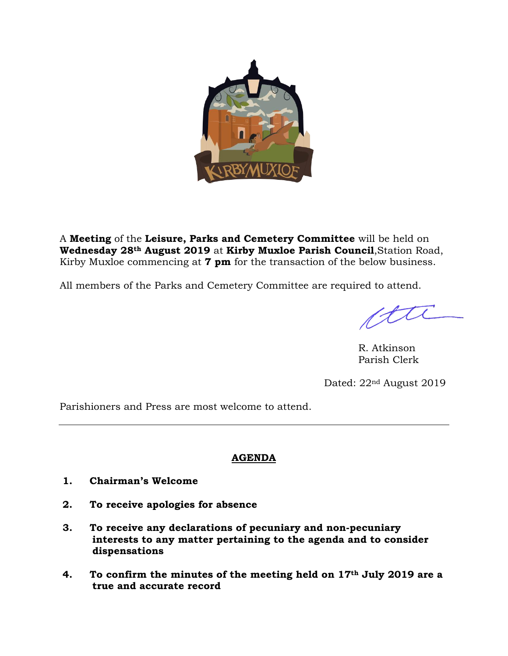

A **Meeting** of the **Leisure, Parks and Cemetery Committee** will be held on **Wednesday 28th August 2019** at **Kirby Muxloe Parish Council**,Station Road, Kirby Muxloe commencing at **7 pm** for the transaction of the below business.

All members of the Parks and Cemetery Committee are required to attend.

R. Atkinson Parish Clerk

Dated: 22nd August 2019

Parishioners and Press are most welcome to attend.

# **AGENDA**

- **1. Chairman's Welcome**
- **2. To receive apologies for absence**
- **3. To receive any declarations of pecuniary and non-pecuniary interests to any matter pertaining to the agenda and to consider dispensations**
- **4. To confirm the minutes of the meeting held on 17th July 2019 are a true and accurate record**